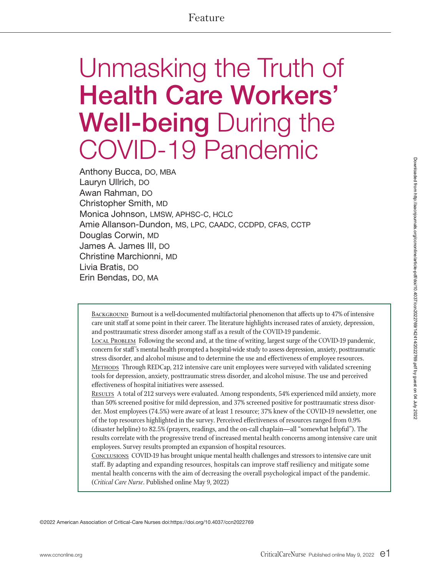# Feature

# Unmasking the Truth of Health Care Workers' Well-being During the COVID-19 Pandemic

Anthony Bucca, DO, MBA Lauryn Ullrich, DO Awan Rahman, DO Christopher Smith, MD Monica Johnson, LMSW, APHSC-C, HCLC Amie Allanson-Dundon, MS, LPC, CAADC, CCDPD, CFAS, CCTP Douglas Corwin, MD James A. James III, DO Christine Marchionni, MD Livia Bratis, DO Erin Bendas, DO, MA

BACKGROUND Burnout is a well-documented multifactorial phenomenon that affects up to 47% of intensive care unit staff at some point in their career. The literature highlights increased rates of anxiety, depression, and posttraumatic stress disorder among staff as a result of the COVID-19 pandemic.

Local Problem Following the second and, at the time of writing, largest surge of the COVID-19 pandemic, concern for staff 's mental health prompted a hospital-wide study to assess depression, anxiety, posttraumatic stress disorder, and alcohol misuse and to determine the use and effectiveness of employee resources. METHODS Through REDCap, 212 intensive care unit employees were surveyed with validated screening tools for depression, anxiety, posttraumatic stress disorder, and alcohol misuse. The use and perceived effectiveness of hospital initiatives were assessed.

RESULTS A total of 212 surveys were evaluated. Among respondents, 54% experienced mild anxiety, more than 50% screened positive for mild depression, and 37% screened positive for posttraumatic stress disorder. Most employees (74.5%) were aware of at least 1 resource; 37% knew of the COVID-19 newsletter, one of the top resources highlighted in the survey. Perceived effectiveness of resources ranged from 0.9% (disaster helpline) to 82.5% (prayers, readings, and the on-call chaplain—all "somewhat helpful"). The results correlate with the progressive trend of increased mental health concerns among intensive care unit employees. Survey results prompted an expansion of hospital resources.

Conclusions COVID-19 has brought unique mental health challenges and stressors to intensive care unit staff. By adapting and expanding resources, hospitals can improve staff resiliency and mitigate some mental health concerns with the aim of decreasing the overall psychological impact of the pandemic. (*Critical Care Nurse*. Published online May 9, 2022)

©2022 American Association of Critical-Care Nurses doi:https://doi.org/10.4037/ccn2022769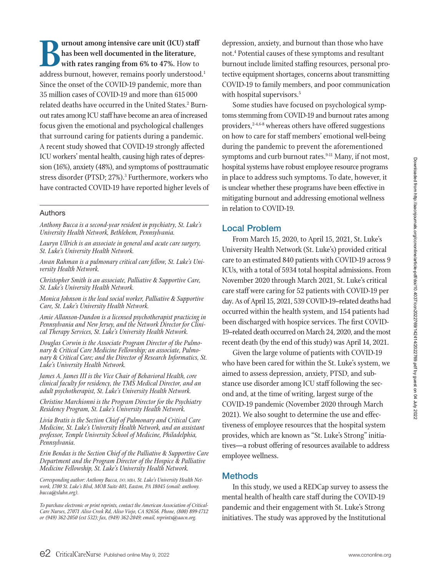**Burnout among intensive care unit (ICU) staff has been well documented in the literature, with rates ranging from 6% to 47%.** How to address burnout, however, remains poorly understood.<sup>1</sup> Since the onset of the COVID-19 pandemic, more than 35 million cases of COVID-19 and more than 615 000 related deaths have occurred in the United States.<sup>2</sup> Burnout rates among ICU staff have become an area of increased focus given the emotional and psychological challenges that surround caring for patients during a pandemic. A recent study showed that COVID-19 strongly affected ICU workers' mental health, causing high rates of depression (16%), anxiety (48%), and symptoms of posttraumatic stress disorder (PTSD; 27%).<sup>3</sup> Furthermore, workers who have contracted COVID-19 have reported higher levels of

#### Authors

*Anthony Bucca is a second-year resident in psychiatry, St. Luke's University Health Network, Bethlehem, Pennsylvania.*

*Lauryn Ullrich is an associate in general and acute care surgery, St. Luke's University Health Network.*

*Awan Rahman is a pulmonary critical care fellow, St. Luke's University Health Network.*

*Christopher Smith is an associate, Palliative & Supportive Care, St. Luke's University Health Network.* 

*Monica Johnson is the lead social worker, Palliative & Supportive Care, St. Luke's University Health Network.*

*Amie Allanson-Dundon is a licensed psychotherapist practicing in Pennsylvania and New Jersey, and the Network Director for Clinical Therapy Services, St. Luke's University Health Network.*

*Douglas Corwin is the Associate Program Director of the Pulmonary & Critical Care Medicine Fellowship; an associate, Pulmonary & Critical Care; and the Director of Research Informatics, St. Luke's University Health Network.*

*James A. James III is the Vice Chair of Behavioral Health, core clinical faculty for residency, the TMS Medical Director, and an adult psychotherapist, St. Luke's University Health Network.*

*Christine Marchionni is the Program Director for the Psychiatry Residency Program, St. Luke's University Health Network.* 

*Livia Bratis is the Section Chief of Pulmonary and Critical Care Medicine, St. Luke's University Health Network, and an assistant professor, Temple University School of Medicine, Philadelphia, Pennsylvania.* 

*Erin Bendas is the Section Chief of the Palliative & Supportive Care Department and the Program Director of the Hospice & Palliative Medicine Fellowship, St. Luke's University Health Network.*

*Corresponding author: Anthony Bucca, DO, MBA, St. Luke's University Health Network, 1700 St. Luke's Blvd, MOB Suite 403, Easton, PA 18045 (email: anthony. bucca@sluhn.org).* 

*To purchase electronic or print reprints, contact the American Association of Critical-Care Nurses, 27071 Aliso Creek Rd, Aliso Viejo, CA 92656. Phone, (800) 899-1712 or (949) 362-2050 (ext 532); fax, (949) 362-2049; email, reprints@aacn.org.*

depression, anxiety, and burnout than those who have not.4 Potential causes of these symptoms and resultant burnout include limited staffing resources, personal protective equipment shortages, concerns about transmitting COVID-19 to family members, and poor communication with hospital supervisors.<sup>5</sup>

Some studies have focused on psychological symptoms stemming from COVID-19 and burnout rates among providers,<sup>2-4,6-8</sup> whereas others have offered suggestions on how to care for staff members' emotional well-being during the pandemic to prevent the aforementioned symptoms and curb burnout rates.<sup>9-11</sup> Many, if not most, hospital systems have robust employee resource programs in place to address such symptoms. To date, however, it is unclear whether these programs have been effective in mitigating burnout and addressing emotional wellness in relation to COVID-19.

#### Local Problem

From March 15, 2020, to April 15, 2021, St. Luke's University Health Network (St. Luke's) provided critical care to an estimated 840 patients with COVID-19 across 9 ICUs, with a total of 5934 total hospital admissions. From November 2020 through March 2021, St. Luke's critical care staff were caring for 52 patients with COVID-19 per day. As of April 15, 2021, 539 COVID-19–related deaths had occurred within the health system, and 154 patients had been discharged with hospice services. The first COVID-19–related death occurred on March 24, 2020, and the most recent death (by the end of this study) was April 14, 2021.

Given the large volume of patients with COVID-19 who have been cared for within the St. Luke's system, we aimed to assess depression, anxiety, PTSD, and substance use disorder among ICU staff following the second and, at the time of writing, largest surge of the COVID-19 pandemic (November 2020 through March 2021). We also sought to determine the use and effectiveness of employee resources that the hospital system provides, which are known as "St. Luke's Strong" initiatives—a robust offering of resources available to address employee wellness.

#### **Methods**

In this study, we used a REDCap survey to assess the mental health of health care staff during the COVID-19 pandemic and their engagement with St. Luke's Strong initiatives. The study was approved by the Institutional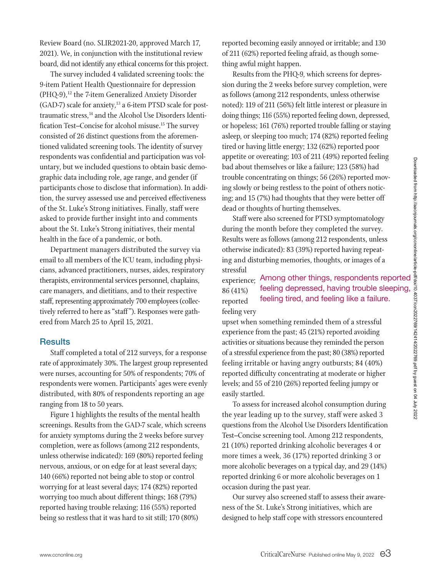Review Board (no. SLIR2021-20, approved March 17, 2021). We, in conjunction with the institutional review board, did not identify any ethical concerns for this project.

The survey included 4 validated screening tools: the 9-item Patient Health Questionnaire for depression  $(PHQ-9)$ ,<sup>12</sup> the 7-item Generalized Anxiety Disorder  $(GAD-7)$  scale for anxiety,<sup>13</sup> a 6-item PTSD scale for posttraumatic stress,<sup>14</sup> and the Alcohol Use Disorders Identification Test-Concise for alcohol misuse.<sup>15</sup> The survey consisted of 26 distinct questions from the aforementioned validated screening tools. The identity of survey respondents was confidential and participation was voluntary, but we included questions to obtain basic demographic data including role, age range, and gender (if participants chose to disclose that information). In addition, the survey assessed use and perceived effectiveness of the St. Luke's Strong initiatives. Finally, staff were asked to provide further insight into and comments about the St. Luke's Strong initiatives, their mental health in the face of a pandemic, or both.

Department managers distributed the survey via email to all members of the ICU team, including physicians, advanced practitioners, nurses, aides, respiratory therapists, environmental services personnel, chaplains, care managers, and dietitians, and to their respective staff, representing approximately 700 employees (collectively referred to here as "staff "). Responses were gathered from March 25 to April 15, 2021.

#### **Results**

Staff completed a total of 212 surveys, for a response rate of approximately 30%. The largest group represented were nurses, accounting for 50% of respondents; 70% of respondents were women. Participants' ages were evenly distributed, with 80% of respondents reporting an age ranging from 18 to 50 years.

Figure 1 highlights the results of the mental health screenings. Results from the GAD-7 scale, which screens for anxiety symptoms during the 2 weeks before survey completion, were as follows (among 212 respondents, unless otherwise indicated): 169 (80%) reported feeling nervous, anxious, or on edge for at least several days; 140 (66%) reported not being able to stop or control worrying for at least several days; 174 (82%) reported worrying too much about different things; 168 (79%) reported having trouble relaxing; 116 (55%) reported being so restless that it was hard to sit still; 170 (80%)

reported becoming easily annoyed or irritable; and 130 of 211 (62%) reported feeling afraid, as though something awful might happen.

Results from the PHQ-9, which screens for depression during the 2 weeks before survey completion, were as follows (among 212 respondents, unless otherwise noted): 119 of 211 (56%) felt little interest or pleasure in doing things; 116 (55%) reported feeling down, depressed, or hopeless; 161 (76%) reported trouble falling or staying asleep, or sleeping too much; 174 (82%) reported feeling tired or having little energy; 132 (62%) reported poor appetite or overeating; 103 of 211 (49%) reported feeling bad about themselves or like a failure; 123 (58%) had trouble concentrating on things; 56 (26%) reported moving slowly or being restless to the point of others noticing; and 15 (7%) had thoughts that they were better off dead or thoughts of hurting themselves.

Staff were also screened for PTSD symptomatology during the month before they completed the survey. Results were as follows (among 212 respondents, unless otherwise indicated): 83 (39%) reported having repeating and disturbing memories, thoughts, or images of a stressful

experience; Among other things, respondents reported feeling tired, and feeling like a failure. 86 (41%) reported feeling very

wereating; 103 01 211 (49%) reported reeming<br>
emselves or like a failure; 123 (58%) had<br>
emselves or like a failure; 123 (58%) had<br>
being restless to the point of others notic-<br>  $\frac{3}{2}$  being restless to the point of ot upset when something reminded them of a stressful experience from the past; 45 (21%) reported avoiding activities or situations because they reminded the person of a stressful experience from the past; 80 (38%) reported feeling irritable or having angry outbursts; 84 (40%) reported difficulty concentrating at moderate or higher levels; and 55 of 210 (26%) reported feeling jumpy or easily startled.

To assess for increased alcohol consumption during the year leading up to the survey, staff were asked 3 questions from the Alcohol Use Disorders Identification Test–Concise screening tool. Among 212 respondents, 21 (10%) reported drinking alcoholic beverages 4 or more times a week, 36 (17%) reported drinking 3 or more alcoholic beverages on a typical day, and 29 (14%) reported drinking 6 or more alcoholic beverages on 1 occasion during the past year.

Our survey also screened staff to assess their awareness of the St. Luke's Strong initiatives, which are designed to help staff cope with stressors encountered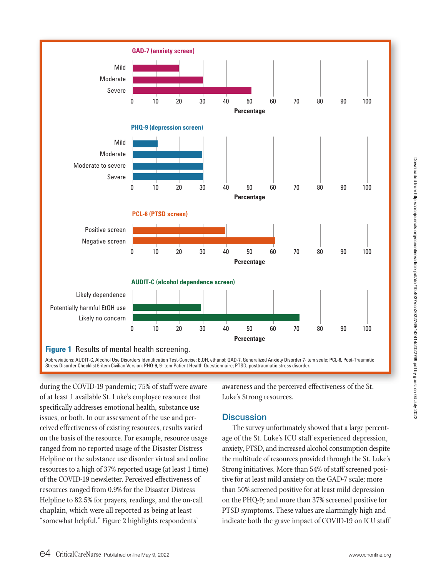

Abbreviations: AUDIT-C, Alcohol Use Disorders Identification Test-Concise; EtOH, ethanol; GAD-7, Generalized Anxiety Disorder 7-item scale; PCL-6, Post-Traumatic Stress Disorder Checklist 6-item Civilian Version; PHQ-9, 9-item Patient Health Questionnaire; PTSD, posttraumatic stress disorder.

during the COVID-19 pandemic; 75% of staff were aware of at least 1 available St. Luke's employee resource that specifically addresses emotional health, substance use issues, or both. In our assessment of the use and perceived effectiveness of existing resources, results varied on the basis of the resource. For example, resource usage ranged from no reported usage of the Disaster Distress Helpline or the substance use disorder virtual and online resources to a high of 37% reported usage (at least 1 time) of the COVID-19 newsletter. Perceived effectiveness of resources ranged from 0.9% for the Disaster Distress Helpline to 82.5% for prayers, readings, and the on-call chaplain, which were all reported as being at least "somewhat helpful." Figure 2 highlights respondents'

awareness and the perceived effectiveness of the St. Luke's Strong resources.

### **Discussion**

The survey unfortunately showed that a large percentage of the St. Luke's ICU staff experienced depression, anxiety, PTSD, and increased alcohol consumption despite the multitude of resources provided through the St. Luke's Strong initiatives. More than 54% of staff screened positive for at least mild anxiety on the GAD-7 scale; more than 50% screened positive for at least mild depression on the PHQ-9; and more than 37% screened positive for PTSD symptoms. These values are alarmingly high and indicate both the grave impact of COVID-19 on ICU staff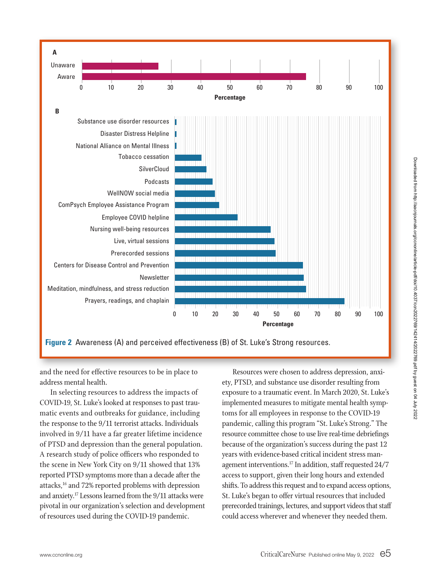

**Figure 2** Awareness (A) and perceived effectiveness (B) of St. Luke's Strong resources.

and the need for effective resources to be in place to address mental health.

In selecting resources to address the impacts of COVID-19, St. Luke's looked at responses to past traumatic events and outbreaks for guidance, including the response to the 9/11 terrorist attacks. Individuals involved in 9/11 have a far greater lifetime incidence of PTSD and depression than the general population. A research study of police officers who responded to the scene in New York City on 9/11 showed that 13% reported PTSD symptoms more than a decade after the attacks,16 and 72% reported problems with depression and anxiety.17 Lessons learned from the 9/11 attacks were pivotal in our organization's selection and development of resources used during the COVID-19 pandemic.

Resources were chosen to address depression, anxiety, PTSD, and substance use disorder resulting from exposure to a traumatic event. In March 2020, St. Luke's implemented measures to mitigate mental health symptoms for all employees in response to the COVID-19 pandemic, calling this program "St. Luke's Strong." The resource committee chose to use live real-time debriefings because of the organization's success during the past 12 years with evidence-based critical incident stress management interventions.17 In addition, staff requested 24/7 access to support, given their long hours and extended shifts. To address this request and to expand access options, St. Luke's began to offer virtual resources that included prerecorded trainings, lectures, and support videos that staff could access wherever and whenever they needed them.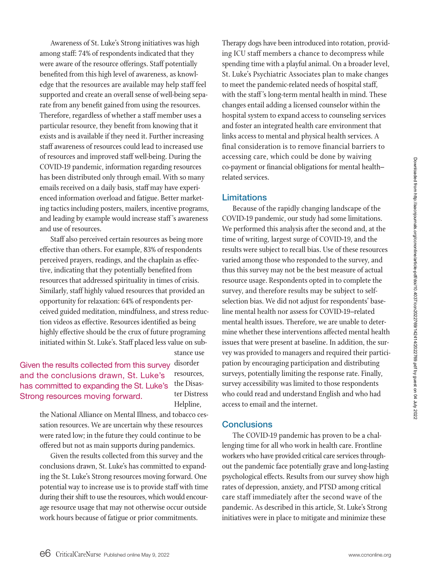Awareness of St. Luke's Strong initiatives was high among staff: 74% of respondents indicated that they were aware of the resource offerings. Staff potentially benefited from this high level of awareness, as knowledge that the resources are available may help staff feel supported and create an overall sense of well-being separate from any benefit gained from using the resources. Therefore, regardless of whether a staff member uses a particular resource, they benefit from knowing that it exists and is available if they need it. Further increasing staff awareness of resources could lead to increased use of resources and improved staff well-being. During the COVID-19 pandemic, information regarding resources has been distributed only through email. With so many emails received on a daily basis, staff may have experienced information overload and fatigue. Better marketing tactics including posters, mailers, incentive programs, and leading by example would increase staff 's awareness and use of resources.

Staff also perceived certain resources as being more effective than others. For example, 83% of respondents perceived prayers, readings, and the chaplain as effective, indicating that they potentially benefited from resources that addressed spirituality in times of crisis. Similarly, staff highly valued resources that provided an opportunity for relaxation: 64% of respondents perceived guided meditation, mindfulness, and stress reduction videos as effective. Resources identified as being highly effective should be the crux of future programing initiated within St. Luke's. Staff placed less value on sub-

Given the results collected from this survey and the conclusions drawn, St. Luke's has committed to expanding the St. Luke's Strong resources moving forward.

stance use disorder resources, the Disaster Distress Helpline,

the National Alliance on Mental Illness, and tobacco cessation resources. We are uncertain why these resources were rated low; in the future they could continue to be offered but not as main supports during pandemics.

Given the results collected from this survey and the conclusions drawn, St. Luke's has committed to expanding the St. Luke's Strong resources moving forward. One potential way to increase use is to provide staff with time during their shift to use the resources, which would encourage resource usage that may not otherwise occur outside work hours because of fatigue or prior commitments.

Therapy dogs have been introduced into rotation, providing ICU staff members a chance to decompress while spending time with a playful animal. On a broader level, St. Luke's Psychiatric Associates plan to make changes to meet the pandemic-related needs of hospital staff, with the staff 's long-term mental health in mind. These changes entail adding a licensed counselor within the hospital system to expand access to counseling services and foster an integrated health care environment that links access to mental and physical health services. A final consideration is to remove financial barriers to accessing care, which could be done by waiving co-payment or financial obligations for mental health– related services.

#### Limitations

Because of the rapidly changing landscape of the COVID-19 pandemic, our study had some limitations. We performed this analysis after the second and, at the time of writing, largest surge of COVID-19, and the results were subject to recall bias. Use of these resources varied among those who responded to the survey, and thus this survey may not be the best measure of actual resource usage. Respondents opted in to complete the survey, and therefore results may be subject to selfselection bias. We did not adjust for respondents' baseline mental health nor assess for COVID-19–related mental health issues. Therefore, we are unable to determine whether these interventions affected mental health issues that were present at baseline. In addition, the survey was provided to managers and required their participation by encouraging participation and distributing surveys, potentially limiting the response rate. Finally, survey accessibility was limited to those respondents who could read and understand English and who had access to email and the internet.

#### **Conclusions**

The COVID-19 pandemic has proven to be a challenging time for all who work in health care. Frontline workers who have provided critical care services throughout the pandemic face potentially grave and long-lasting psychological effects. Results from our survey show high rates of depression, anxiety, and PTSD among critical care staff immediately after the second wave of the pandemic. As described in this article, St. Luke's Strong initiatives were in place to mitigate and minimize these